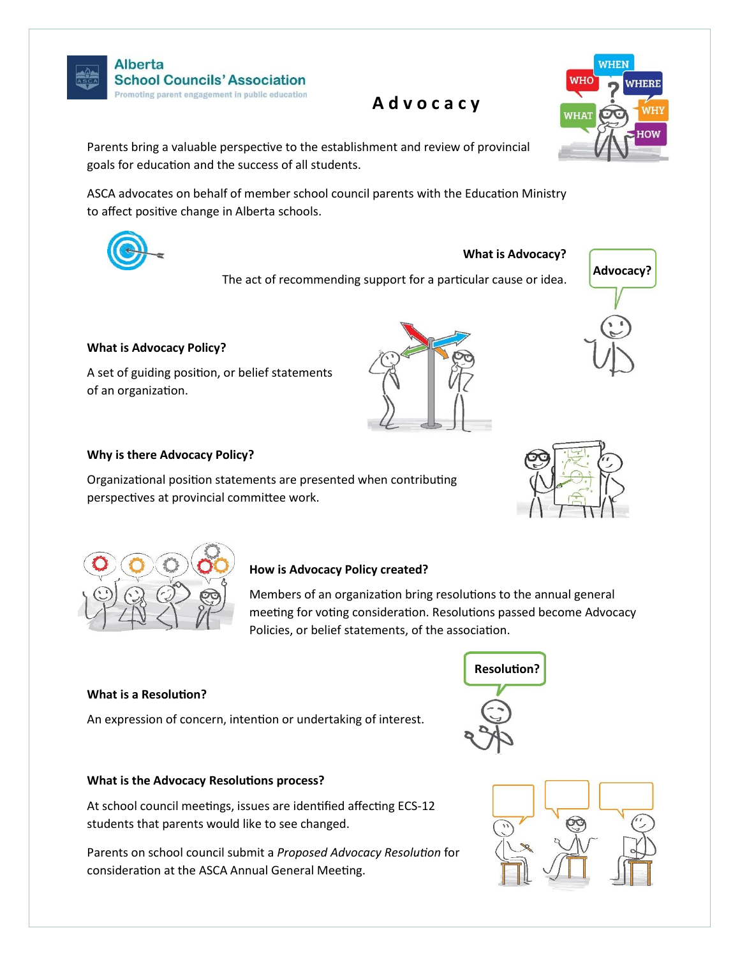

**Alberta School Councils' Association** Promoting parent engagement in public education

 **A d v o c a c y**



Parents bring a valuable perspective to the establishment and review of provincial goals for education and the success of all students.

ASCA advocates on behalf of member school council parents with the Education Ministry to affect positive change in Alberta schools.



#### **What is Advocacy?**

The act of recommending support for a particular cause or idea.





## **What is Advocacy Policy?**

A set of guiding position, or belief statements of an organization.

# **Why is there Advocacy Policy?**

Organizational position statements are presented when contributing perspectives at provincial committee work.





### **How is Advocacy Policy created?**

Members of an organization bring resolutions to the annual general meeting for voting consideration. Resolutions passed become Advocacy Policies, or belief statements, of the association.

#### **What is a Resolution?**

An expression of concern, intention or undertaking of interest.

# **What is the Advocacy Resolutions process?**

At school council meetings, issues are identified affecting ECS-12 students that parents would like to see changed.

Parents on school council submit a *Proposed Advocacy Resolution* for consideration at the ASCA Annual General Meeting.